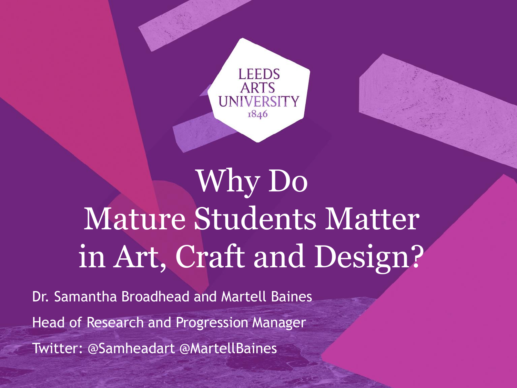

## Why Do Mature Students Matter in Art, Craft and Design?

Dr. Samantha Broadhead and Martell Baines Head of Research and Progression Manager Twitter: @Samheadart @MartellBaines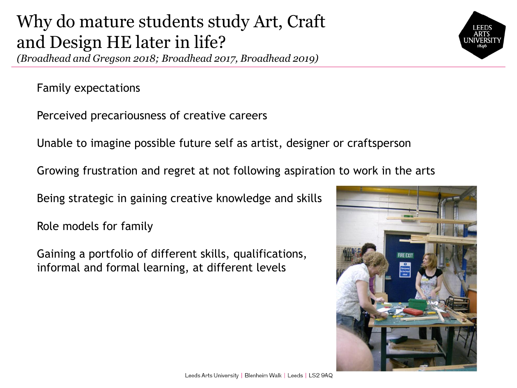### Why do mature students study Art, Craft and Design HE later in life?

*(Broadhead and Gregson 2018; Broadhead 2017, Broadhead 2019)*

Family expectations

Perceived precariousness of creative careers

Unable to imagine possible future self as artist, designer or craftsperson

Growing frustration and regret at not following aspiration to work in the arts

Being strategic in gaining creative knowledge and skills

Role models for family

Gaining a portfolio of different skills, qualifications, informal and formal learning, at different levels



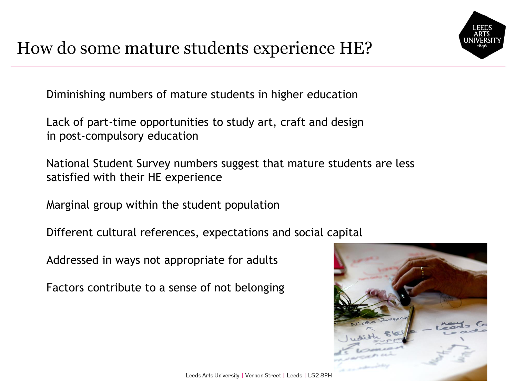Diminishing numbers of mature students in higher education

Lack of part-time opportunities to study art, craft and design in post-compulsory education

National Student Survey numbers suggest that mature students are less satisfied with their HE experience

Marginal group within the student population

Different cultural references, expectations and social capital

Addressed in ways not appropriate for adults

Factors contribute to a sense of not belonging

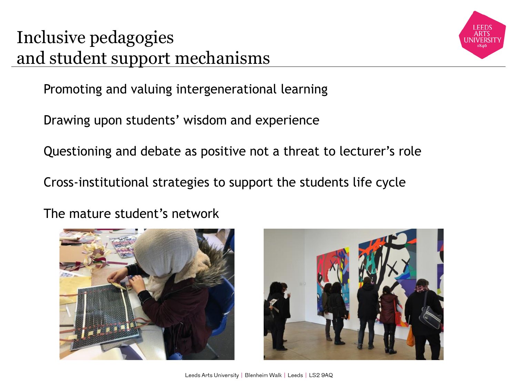#### Inclusive pedagogies and student support mechanisms



Promoting and valuing intergenerational learning

Drawing upon students' wisdom and experience

Questioning and debate as positive not a threat to lecturer's role

Cross-institutional strategies to support the students life cycle

The mature student's network



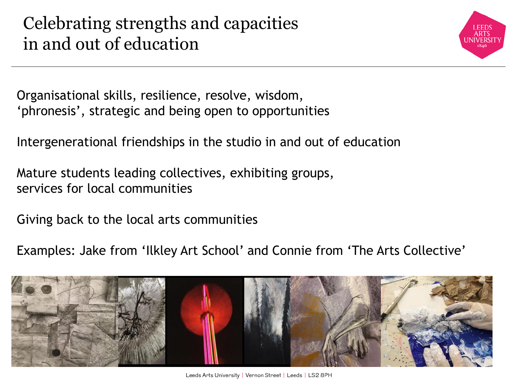Celebrating strengths and capacities in and out of education



Organisational skills, resilience, resolve, wisdom, 'phronesis', strategic and being open to opportunities

Intergenerational friendships in the studio in and out of education

Mature students leading collectives, exhibiting groups, services for local communities

Giving back to the local arts communities

Examples: Jake from 'Ilkley Art School' and Connie from 'The Arts Collective'

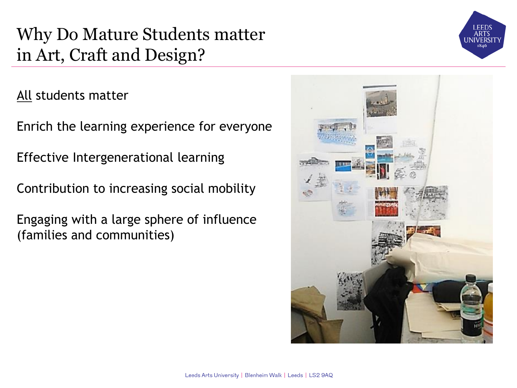#### Why Do Mature Students matter in Art, Craft and Design?

All students matter

Enrich the learning experience for everyone

Effective Intergenerational learning

Contribution to increasing social mobility

Engaging with a large sphere of influence (families and communities)



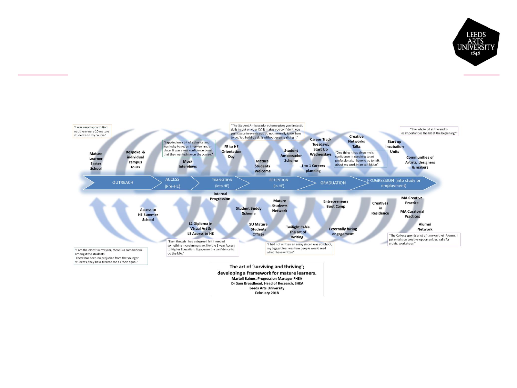



Dr Sam Broadhead, Head of Research, SHEA **Leeds Arts University** 

February 2018